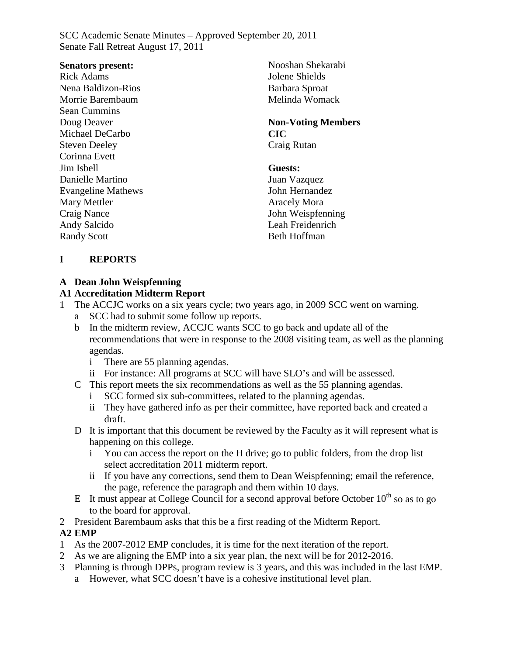#### **Senators present:**

Rick Adams Nena Baldizon-Rios Morrie Barembaum Sean Cummins Doug Deaver Michael DeCarbo Steven Deeley Corinna Evett Jim Isbell Danielle Martino Evangeline Mathews Mary Mettler Craig Nance Andy Salcido Randy Scott

Nooshan Shekarabi Jolene Shields Barbara Sproat Melinda Womack

#### **Non-Voting Members CIC** Craig Rutan

#### **Guests:**

Juan Vazquez John Hernandez Aracely Mora John Weispfenning Leah Freidenrich Beth Hoffman

### **I REPORTS**

### **A Dean John Weispfenning**

### **A1 Accreditation Midterm Report**

- The ACCJC works on a six years cycle; two years ago, in 2009 SCC went on warning.
	- a SCC had to submit some follow up reports.
	- b In the midterm review, ACCJC wants SCC to go back and update all of the recommendations that were in response to the 2008 visiting team, as well as the planning agendas.
		- i There are 55 planning agendas.
		- ii For instance: All programs at SCC will have SLO's and will be assessed.
	- C This report meets the six recommendations as well as the 55 planning agendas.
		- SCC formed six sub-committees, related to the planning agendas.
		- ii They have gathered info as per their committee, have reported back and created a draft.
	- D It is important that this document be reviewed by the Faculty as it will represent what is happening on this college.
		- i You can access the report on the H drive; go to public folders, from the drop list select accreditation 2011 midterm report.
		- ii If you have any corrections, send them to Dean Weispfenning; email the reference, the page, reference the paragraph and them within 10 days.
	- E It must appear at College Council for a second approval before October  $10^{th}$  so as to go to the board for approval.
- 2 President Barembaum asks that this be a first reading of the Midterm Report.

#### **A2 EMP**

- 1 As the 2007-2012 EMP concludes, it is time for the next iteration of the report.
- 2 As we are aligning the EMP into a six year plan, the next will be for 2012-2016.
- 3 Planning is through DPPs, program review is 3 years, and this was included in the last EMP.
	- a However, what SCC doesn't have is a cohesive institutional level plan.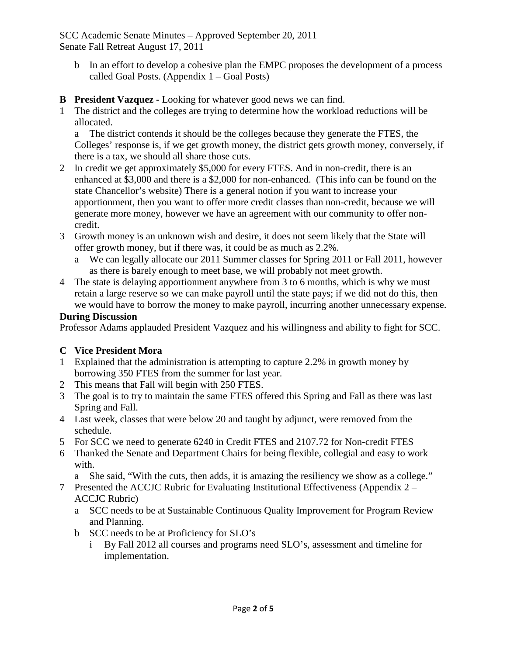- b In an effort to develop a cohesive plan the EMPC proposes the development of a process called Goal Posts. (Appendix 1 – Goal Posts)
- **B President Vazquez -** Looking for whatever good news we can find.
- 1 The district and the colleges are trying to determine how the workload reductions will be allocated.

a The district contends it should be the colleges because they generate the FTES, the Colleges' response is, if we get growth money, the district gets growth money, conversely, if there is a tax, we should all share those cuts.

- 2 In credit we get approximately \$5,000 for every FTES. And in non-credit, there is an enhanced at \$3,000 and there is a \$2,000 for non-enhanced. (This info can be found on the state Chancellor's website) There is a general notion if you want to increase your apportionment, then you want to offer more credit classes than non-credit, because we will generate more money, however we have an agreement with our community to offer noncredit.
- 3 Growth money is an unknown wish and desire, it does not seem likely that the State will offer growth money, but if there was, it could be as much as 2.2%.
	- a We can legally allocate our 2011 Summer classes for Spring 2011 or Fall 2011, however as there is barely enough to meet base, we will probably not meet growth.
- 4 The state is delaying apportionment anywhere from 3 to 6 months, which is why we must retain a large reserve so we can make payroll until the state pays; if we did not do this, then we would have to borrow the money to make payroll, incurring another unnecessary expense.

### **During Discussion**

Professor Adams applauded President Vazquez and his willingness and ability to fight for SCC.

### **C Vice President Mora**

- 1 Explained that the administration is attempting to capture 2.2% in growth money by borrowing 350 FTES from the summer for last year.
- 2 This means that Fall will begin with 250 FTES.
- 3 The goal is to try to maintain the same FTES offered this Spring and Fall as there was last Spring and Fall.
- 4 Last week, classes that were below 20 and taught by adjunct, were removed from the schedule.
- 5 For SCC we need to generate 6240 in Credit FTES and 2107.72 for Non-credit FTES
- 6 Thanked the Senate and Department Chairs for being flexible, collegial and easy to work with.

a She said, "With the cuts, then adds, it is amazing the resiliency we show as a college."

- 7 Presented the ACCJC Rubric for Evaluating Institutional Effectiveness (Appendix 2 ACCJC Rubric)
	- a SCC needs to be at Sustainable Continuous Quality Improvement for Program Review and Planning.
	- b SCC needs to be at Proficiency for SLO's
		- i By Fall 2012 all courses and programs need SLO's, assessment and timeline for implementation.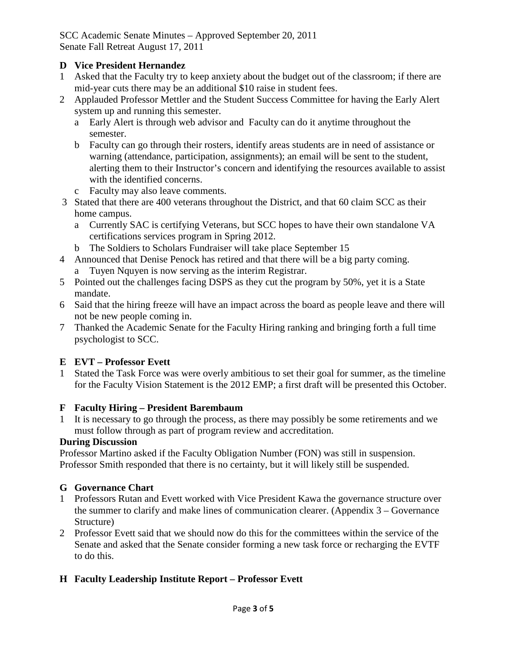### **D Vice President Hernandez**

- 1 Asked that the Faculty try to keep anxiety about the budget out of the classroom; if there are mid-year cuts there may be an additional \$10 raise in student fees.
- 2 Applauded Professor Mettler and the Student Success Committee for having the Early Alert system up and running this semester.
	- a Early Alert is through web advisor and Faculty can do it anytime throughout the semester.
	- b Faculty can go through their rosters, identify areas students are in need of assistance or warning (attendance, participation, assignments); an email will be sent to the student, alerting them to their Instructor's concern and identifying the resources available to assist with the identified concerns.
	- c Faculty may also leave comments.
- 3 Stated that there are 400 veterans throughout the District, and that 60 claim SCC as their home campus.
	- a Currently SAC is certifying Veterans, but SCC hopes to have their own standalone VA certifications services program in Spring 2012.
	- b The Soldiers to Scholars Fundraiser will take place September 15
- 4 Announced that Denise Penock has retired and that there will be a big party coming. a Tuyen Nquyen is now serving as the interim Registrar.
- 5 Pointed out the challenges facing DSPS as they cut the program by 50%, yet it is a State mandate.
- 6 Said that the hiring freeze will have an impact across the board as people leave and there will not be new people coming in.
- 7 Thanked the Academic Senate for the Faculty Hiring ranking and bringing forth a full time psychologist to SCC.

### **E EVT – Professor Evett**

1 Stated the Task Force was were overly ambitious to set their goal for summer, as the timeline for the Faculty Vision Statement is the 2012 EMP; a first draft will be presented this October.

### **F Faculty Hiring – President Barembaum**

It is necessary to go through the process, as there may possibly be some retirements and we must follow through as part of program review and accreditation.

### **During Discussion**

Professor Martino asked if the Faculty Obligation Number (FON) was still in suspension. Professor Smith responded that there is no certainty, but it will likely still be suspended.

### **G Governance Chart**

- 1 Professors Rutan and Evett worked with Vice President Kawa the governance structure over the summer to clarify and make lines of communication clearer. (Appendix 3 – Governance Structure)
- 2 Professor Evett said that we should now do this for the committees within the service of the Senate and asked that the Senate consider forming a new task force or recharging the EVTF to do this.

### **H Faculty Leadership Institute Report – Professor Evett**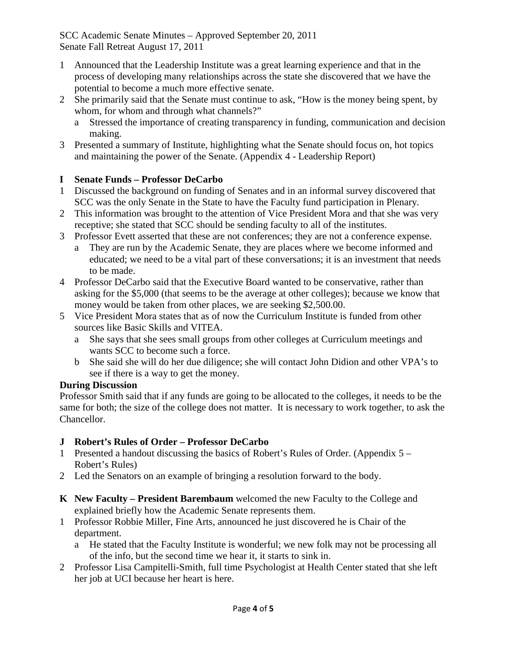- 1 Announced that the Leadership Institute was a great learning experience and that in the process of developing many relationships across the state she discovered that we have the potential to become a much more effective senate.
- 2 She primarily said that the Senate must continue to ask, "How is the money being spent, by whom, for whom and through what channels?"
	- a Stressed the importance of creating transparency in funding, communication and decision making.
- 3 Presented a summary of Institute, highlighting what the Senate should focus on, hot topics and maintaining the power of the Senate. (Appendix 4 - Leadership Report)

### **I Senate Funds – Professor DeCarbo**

- 1 Discussed the background on funding of Senates and in an informal survey discovered that SCC was the only Senate in the State to have the Faculty fund participation in Plenary.
- 2 This information was brought to the attention of Vice President Mora and that she was very receptive; she stated that SCC should be sending faculty to all of the institutes.
- 3 Professor Evett asserted that these are not conferences; they are not a conference expense.
	- a They are run by the Academic Senate, they are places where we become informed and educated; we need to be a vital part of these conversations; it is an investment that needs to be made.
- 4 Professor DeCarbo said that the Executive Board wanted to be conservative, rather than asking for the \$5,000 (that seems to be the average at other colleges); because we know that money would be taken from other places, we are seeking \$2,500.00.
- 5 Vice President Mora states that as of now the Curriculum Institute is funded from other sources like Basic Skills and VITEA.
	- a She says that she sees small groups from other colleges at Curriculum meetings and wants SCC to become such a force.
	- b She said she will do her due diligence; she will contact John Didion and other VPA's to see if there is a way to get the money.

### **During Discussion**

Professor Smith said that if any funds are going to be allocated to the colleges, it needs to be the same for both; the size of the college does not matter. It is necessary to work together, to ask the Chancellor.

### **J Robert's Rules of Order – Professor DeCarbo**

- 1 Presented a handout discussing the basics of Robert's Rules of Order. (Appendix 5 Robert's Rules)
- 2 Led the Senators on an example of bringing a resolution forward to the body.
- **K New Faculty – President Barembaum** welcomed the new Faculty to the College and explained briefly how the Academic Senate represents them.
- 1 Professor Robbie Miller, Fine Arts, announced he just discovered he is Chair of the department.
	- a He stated that the Faculty Institute is wonderful; we new folk may not be processing all of the info, but the second time we hear it, it starts to sink in.
- 2 Professor Lisa Campitelli-Smith, full time Psychologist at Health Center stated that she left her job at UCI because her heart is here.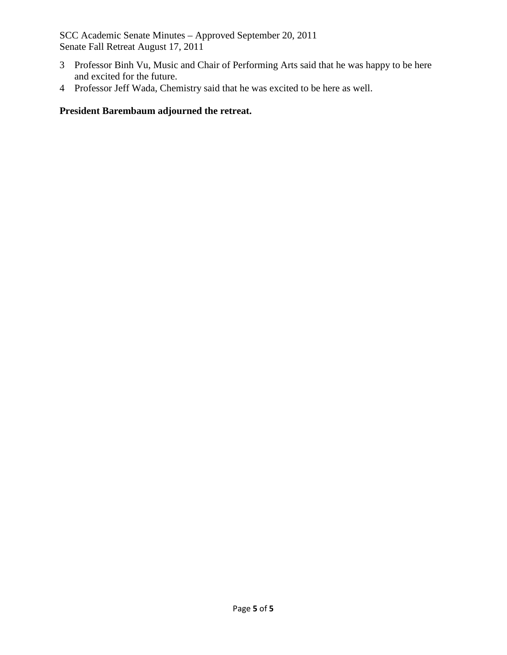- 3 Professor Binh Vu, Music and Chair of Performing Arts said that he was happy to be here and excited for the future.
- 4 Professor Jeff Wada, Chemistry said that he was excited to be here as well.

### **President Barembaum adjourned the retreat.**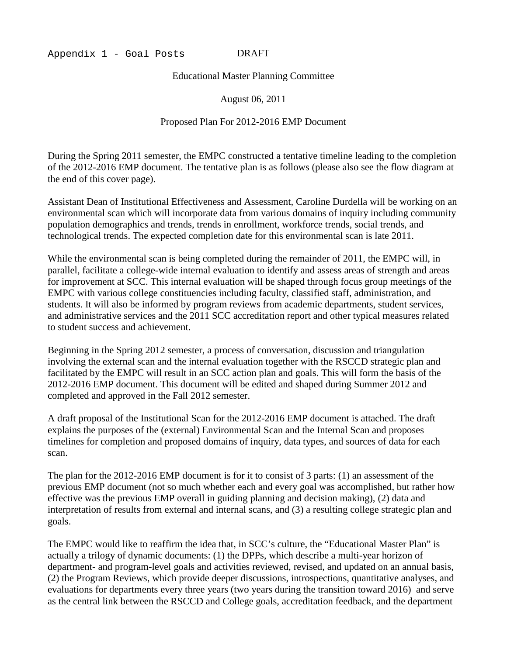#### DRAFT

Educational Master Planning Committee

August 06, 2011

#### Proposed Plan For 2012-2016 EMP Document

During the Spring 2011 semester, the EMPC constructed a tentative timeline leading to the completion of the 2012-2016 EMP document. The tentative plan is as follows (please also see the flow diagram at the end of this cover page).

Assistant Dean of Institutional Effectiveness and Assessment, Caroline Durdella will be working on an environmental scan which will incorporate data from various domains of inquiry including community population demographics and trends, trends in enrollment, workforce trends, social trends, and technological trends. The expected completion date for this environmental scan is late 2011.

While the environmental scan is being completed during the remainder of 2011, the EMPC will, in parallel, facilitate a college-wide internal evaluation to identify and assess areas of strength and areas for improvement at SCC. This internal evaluation will be shaped through focus group meetings of the EMPC with various college constituencies including faculty, classified staff, administration, and students. It will also be informed by program reviews from academic departments, student services, and administrative services and the 2011 SCC accreditation report and other typical measures related to student success and achievement.

Beginning in the Spring 2012 semester, a process of conversation, discussion and triangulation involving the external scan and the internal evaluation together with the RSCCD strategic plan and facilitated by the EMPC will result in an SCC action plan and goals. This will form the basis of the 2012-2016 EMP document. This document will be edited and shaped during Summer 2012 and completed and approved in the Fall 2012 semester.

A draft proposal of the Institutional Scan for the 2012-2016 EMP document is attached. The draft explains the purposes of the (external) Environmental Scan and the Internal Scan and proposes timelines for completion and proposed domains of inquiry, data types, and sources of data for each scan.

The plan for the 2012-2016 EMP document is for it to consist of 3 parts: (1) an assessment of the previous EMP document (not so much whether each and every goal was accomplished, but rather how effective was the previous EMP overall in guiding planning and decision making), (2) data and interpretation of results from external and internal scans, and (3) a resulting college strategic plan and goals.

The EMPC would like to reaffirm the idea that, in SCC's culture, the "Educational Master Plan" is actually a trilogy of dynamic documents: (1) the DPPs, which describe a multi-year horizon of department- and program-level goals and activities reviewed, revised, and updated on an annual basis, (2) the Program Reviews, which provide deeper discussions, introspections, quantitative analyses, and evaluations for departments every three years (two years during the transition toward 2016) and serve as the central link between the RSCCD and College goals, accreditation feedback, and the department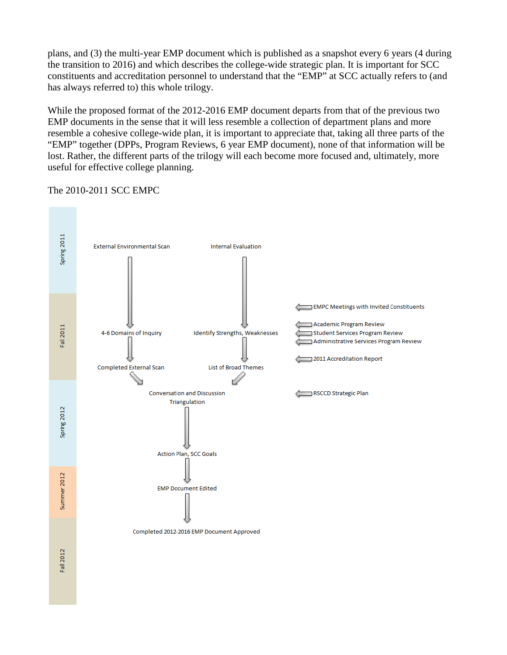plans, and (3) the multi-year EMP document which is published as a snapshot every 6 years (4 during the transition to 2016) and which describes the college-wide strategic plan. It is important for SCC constituents and accreditation personnel to understand that the "EMP" at SCC actually refers to (and has always referred to) this whole trilogy.

While the proposed format of the 2012-2016 EMP document departs from that of the previous two EMP documents in the sense that it will less resemble a collection of department plans and more resemble a cohesive college-wide plan, it is important to appreciate that, taking all three parts of the "EMP" together (DPPs, Program Reviews, 6 year EMP document), none of that information will be lost. Rather, the different parts of the trilogy will each become more focused and, ultimately, more useful for effective college planning.

The 2010-2011 SCC EMPC

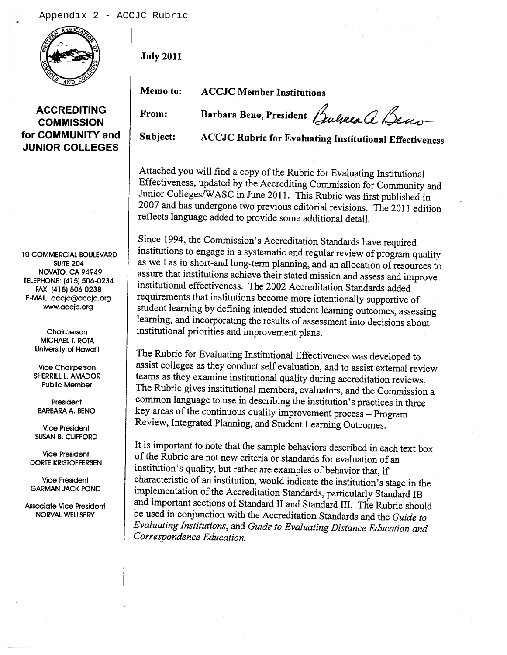

**July 2011** 

From:

Memo to:

**ACCJC Member Institutions** 

**ACCREDITING COMMISSION** for COMMUNITY and **JUNIOR COLLEGES** 

**10 COMMERCIAL BOULEVARD SUITE 204** NOVATO, CA 94949 TELEPHONE: (415) 506-0234 FAX: (415) 506-0238 E-MAIL: accjc@accjc.org www.accjc.org

> Chairperson **MICHAEL T. ROTA** University of Hawai'i

**Vice Chairperson** SHERRILL L. AMADOR **Public Member** 

President **BARBARA A. BENO** 

**Vice President SUSAN B. CLIFFORD** 

**Vice President DORTE KRISTOFFERSEN** 

**Vice President GARMAN JACK POND** 

**Associate Vice President** NORVAL WELLSFRY

Barbara Beno, President Bulgea a Beno

Subiect:

**ACCJC Rubric for Evaluating Institutional Effectiveness** 

Attached you will find a copy of the Rubric for Evaluating Institutional Effectiveness, updated by the Accrediting Commission for Community and Junior Colleges/WASC in June 2011. This Rubric was first published in 2007 and has undergone two previous editorial revisions. The 2011 edition reflects language added to provide some additional detail.

Since 1994, the Commission's Accreditation Standards have required institutions to engage in a systematic and regular review of program quality as well as in short-and long-term planning, and an allocation of resources to assure that institutions achieve their stated mission and assess and improve institutional effectiveness. The 2002 Accreditation Standards added requirements that institutions become more intentionally supportive of student learning by defining intended student learning outcomes, assessing learning, and incorporating the results of assessment into decisions about institutional priorities and improvement plans.

The Rubric for Evaluating Institutional Effectiveness was developed to assist colleges as they conduct self evaluation, and to assist external review teams as they examine institutional quality during accreditation reviews. The Rubric gives institutional members, evaluators, and the Commission a common language to use in describing the institution's practices in three key areas of the continuous quality improvement process - Program Review, Integrated Planning, and Student Learning Outcomes.

It is important to note that the sample behaviors described in each text box of the Rubric are not new criteria or standards for evaluation of an institution's quality, but rather are examples of behavior that, if characteristic of an institution, would indicate the institution's stage in the implementation of the Accreditation Standards, particularly Standard IB and important sections of Standard II and Standard III. The Rubric should be used in conjunction with the Accreditation Standards and the Guide to Evaluating Institutions, and Guide to Evaluating Distance Education and Correspondence Education.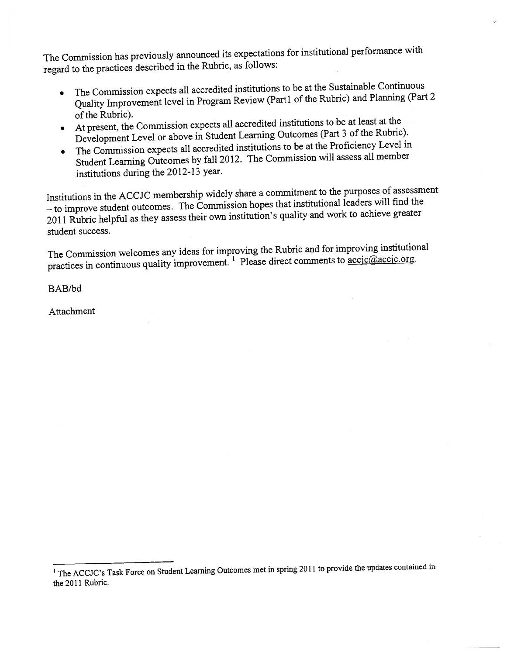The Commission has previously announced its expectations for institutional performance with regard to the practices described in the Rubric, as follows:

- The Commission expects all accredited institutions to be at the Sustainable Continuous Quality Improvement level in Program Review (Part1 of the Rubric) and Planning (Part 2 of the Rubric).
- At present, the Commission expects all accredited institutions to be at least at the Development Level or above in Student Learning Outcomes (Part 3 of the Rubric).
- The Commission expects all accredited institutions to be at the Proficiency Level in Student Learning Outcomes by fall 2012. The Commission will assess all member institutions during the 2012-13 year.

Institutions in the ACCJC membership widely share a commitment to the purposes of assessment  $-$  to improve student outcomes. The Commission hopes that institutional leaders will find the 2011 Rubric helpful as they assess their own institution's quality and work to achieve greater student success.

The Commission welcomes any ideas for improving the Rubric and for improving institutional practices in continuous quality improvement.<sup>1</sup> Please direct comments to <u>accic@accic.org</u>.

BAB/bd

Attachment

<sup>&</sup>lt;sup>1</sup> The ACCJC's Task Force on Student Learning Outcomes met in spring 2011 to provide the updates contained in the 2011 Rubric.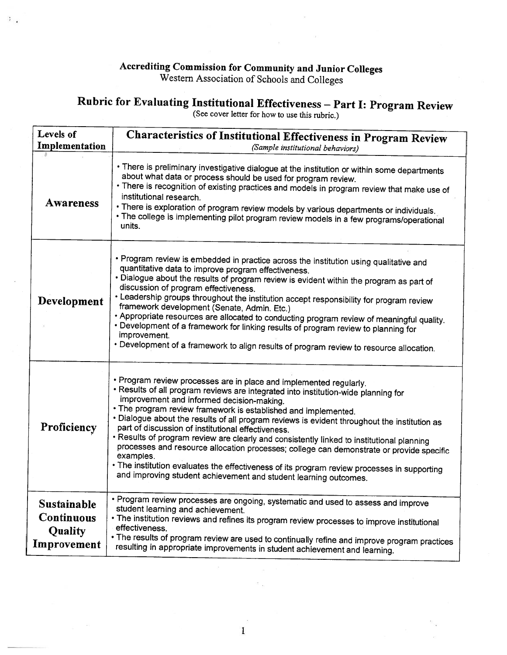### Accrediting Commission for Community and Junior Colleges<br>Western Association of Schools and Colleges

 $\ddot{\phantom{a}}$ .

### Rubric for Evaluating Institutional Effectiveness - Part I: Program Review<br>(See cover letter for how to use this rubric.)

| <b>Levels of</b><br>Implementation                                | Characteristics of Institutional Effectiveness in Program Review<br>(Sample institutional behaviors)                                                                                                                                                                                                                                                                                                                                                                                                                                                                                                                                                                                                                                                                                                   |  |  |  |  |  |  |  |  |  |
|-------------------------------------------------------------------|--------------------------------------------------------------------------------------------------------------------------------------------------------------------------------------------------------------------------------------------------------------------------------------------------------------------------------------------------------------------------------------------------------------------------------------------------------------------------------------------------------------------------------------------------------------------------------------------------------------------------------------------------------------------------------------------------------------------------------------------------------------------------------------------------------|--|--|--|--|--|--|--|--|--|
| <b>Awareness</b>                                                  | • There is preliminary investigative dialogue at the institution or within some departments<br>about what data or process should be used for program review.<br>• There is recognition of existing practices and models in program review that make use of<br>institutional research.<br>. There is exploration of program review models by various departments or individuals.<br>• The college is implementing pilot program review models in a few programs/operational<br>units.                                                                                                                                                                                                                                                                                                                   |  |  |  |  |  |  |  |  |  |
| Development                                                       | • Program review is embedded in practice across the institution using qualitative and<br>quantitative data to improve program effectiveness.<br>. Dialogue about the results of program review is evident within the program as part of<br>discussion of program effectiveness.<br>• Leadership groups throughout the institution accept responsibility for program review<br>framework development (Senate, Admin. Etc.)<br>• Appropriate resources are allocated to conducting program review of meaningful quality.<br>• Development of a framework for linking results of program review to planning for<br>improvement.<br>• Development of a framework to align results of program review to resource allocation.                                                                                |  |  |  |  |  |  |  |  |  |
| Proficiency                                                       | • Program review processes are in place and implemented regularly.<br>· Results of all program reviews are integrated into institution-wide planning for<br>improvement and informed decision-making.<br>• The program review framework is established and implemented.<br>. Dialogue about the results of all program reviews is evident throughout the institution as<br>part of discussion of institutional effectiveness.<br>• Results of program review are clearly and consistently linked to institutional planning<br>processes and resource allocation processes; college can demonstrate or provide specific<br>examples.<br>• The institution evaluates the effectiveness of its program review processes in supporting<br>and improving student achievement and student learning outcomes. |  |  |  |  |  |  |  |  |  |
| <b>Sustainable</b><br><b>Continuous</b><br>Quality<br>Improvement | • Program review processes are ongoing, systematic and used to assess and improve<br>student learning and achievement.<br>• The institution reviews and refines its program review processes to improve institutional<br>effectiveness.<br>• The results of program review are used to continually refine and improve program practices<br>resulting in appropriate improvements in student achievement and learning.                                                                                                                                                                                                                                                                                                                                                                                  |  |  |  |  |  |  |  |  |  |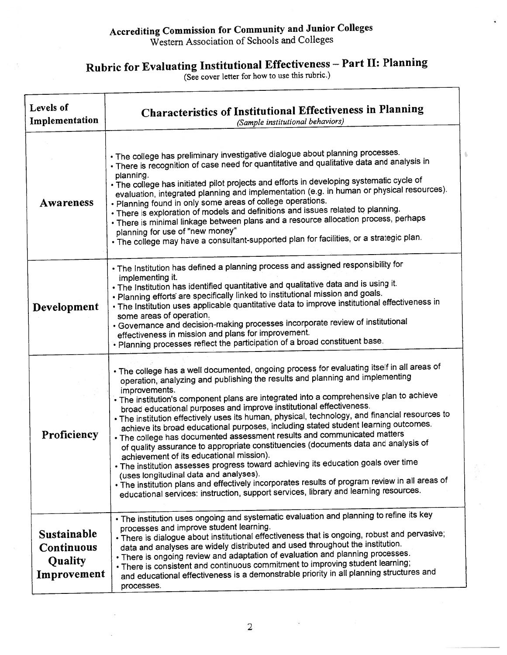### Accrediting Commission for Community and Junior Colleges<br>Western Association of Schools and Colleges

### Rubric for Evaluating Institutional Effectiveness - Part II: Planning<br>(See cover letter for how to use this rubric.)

| Levels of<br>Implementation                                              | <b>Characteristics of Institutional Effectiveness in Planning</b><br>(Sample institutional behaviors)                                                                                                                                                                                                                                                                                                                                                                                                                                                                                                                                                                                                                                                                                                                                                                                                                                                                                                                                                                                           |
|--------------------------------------------------------------------------|-------------------------------------------------------------------------------------------------------------------------------------------------------------------------------------------------------------------------------------------------------------------------------------------------------------------------------------------------------------------------------------------------------------------------------------------------------------------------------------------------------------------------------------------------------------------------------------------------------------------------------------------------------------------------------------------------------------------------------------------------------------------------------------------------------------------------------------------------------------------------------------------------------------------------------------------------------------------------------------------------------------------------------------------------------------------------------------------------|
| Awareness                                                                | . The college has preliminary investigative dialogue about planning processes.<br>• There is recognition of case need for quantitative and qualitative data and analysis in<br>planning.<br>. The college has initiated pilot projects and efforts in developing systematic cycle of<br>evaluation, integrated planning and implementation (e.g. in human or physical resources).<br>. Planning found in only some areas of college operations.<br>• There is exploration of models and definitions and issues related to planning.<br>• There is minimal linkage between plans and a resource allocation process, perhaps<br>planning for use of "new money"<br>. The college may have a consultant-supported plan for facilities, or a strategic plan.                                                                                                                                                                                                                                                                                                                                        |
| Development                                                              | . The Institution has defined a planning process and assigned responsibility for<br>implementing it.<br>. The Institution has identified quantitative and qualitative data and is using it.<br>. Planning efforts are specifically linked to institutional mission and goals.<br>. The Institution uses applicable quantitative data to improve institutional effectiveness in<br>some areas of operation.<br>• Governance and decision-making processes incorporate review of institutional<br>effectiveness in mission and plans for improvement.<br>. Planning processes reflect the participation of a broad constituent base.                                                                                                                                                                                                                                                                                                                                                                                                                                                              |
| Proficiency                                                              | . The college has a well documented, ongoing process for evaluating itself in all areas of<br>operation, analyzing and publishing the results and planning and implementing<br>improvements.<br>• The institution's component plans are integrated into a comprehensive plan to achieve<br>broad educational purposes and improve institutional effectiveness.<br>. The institution effectively uses its human, physical, technology, and financial resources to<br>achieve its broad educational purposes, including stated student learning outcomes.<br>. The college has documented assessment results and communicated matters<br>of quality assurance to appropriate constituencies (documents data and analysis of<br>achievement of its educational mission).<br>. The institution assesses progress toward achieving its education goals over time<br>(uses longitudinal data and analyses).<br>. The institution plans and effectively incorporates results of program review in all areas of<br>educational services: instruction, support services, library and learning resources. |
| <b>Sustainable</b><br><b>Continuous</b><br><b>Quality</b><br>Improvement | • The institution uses ongoing and systematic evaluation and planning to refine its key<br>processes and improve student learning.<br>. There is dialogue about institutional effectiveness that is ongoing, robust and pervasive;<br>data and analyses are widely distributed and used throughout the institution.<br>. There is ongoing review and adaptation of evaluation and planning processes.<br>. There is consistent and continuous commitment to improving student learning;<br>and educational effectiveness is a demonstrable priority in all planning structures and<br>processes.                                                                                                                                                                                                                                                                                                                                                                                                                                                                                                |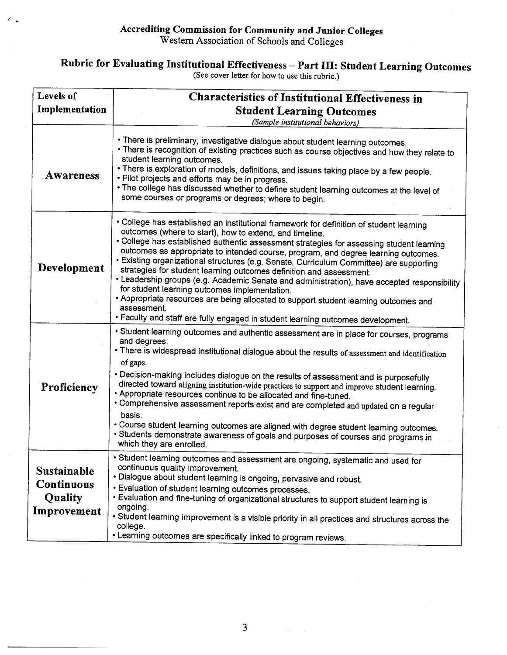### Rubric for Evaluating Institutional Effectiveness – Part III: Student Learning Outcomes<br>(See cover letter for how to use this rubric.)

| Levels of<br>Implementation                                | Characteristics of Institutional Effectiveness in<br><b>Student Learning Outcomes</b><br>(Sample institutional behaviors)                                                                                                                                                                                                                                                                                                                                                                                                                                                                                                                                                                                                                                                                                                                        |  |  |  |  |  |  |  |  |  |
|------------------------------------------------------------|--------------------------------------------------------------------------------------------------------------------------------------------------------------------------------------------------------------------------------------------------------------------------------------------------------------------------------------------------------------------------------------------------------------------------------------------------------------------------------------------------------------------------------------------------------------------------------------------------------------------------------------------------------------------------------------------------------------------------------------------------------------------------------------------------------------------------------------------------|--|--|--|--|--|--|--|--|--|
| <b>Awareness</b>                                           | • There is preliminary, investigative dialogue about student learning outcomes.<br>• There is recognition of existing practices such as course objectives and how they relate to<br>student learning outcomes.<br>• There is exploration of models, definitions, and issues taking place by a few people.<br>. Pilot projects and efforts may be in progress.<br>. The college has discussed whether to define student learning outcomes at the level of<br>some courses or programs or degrees; where to begin.                                                                                                                                                                                                                                                                                                                                 |  |  |  |  |  |  |  |  |  |
| Development                                                | • College has established an institutional framework for definition of student learning<br>outcomes (where to start), how to extend, and timeline.<br>• College has established authentic assessment strategies for assessing student learning<br>outcomes as appropriate to intended course, program, and degree learning outcomes.<br>• Existing organizational structures (e.g. Senate, Curriculum Committee) are supporting<br>strategies for student learning outcomes definition and assessment.<br>• Leadership groups (e.g. Academic Senate and administration), have accepted responsibility<br>for student learning outcomes implementation.<br>• Appropriate resources are being allocated to support student learning outcomes and<br>assessment.<br>. Faculty and staff are fully engaged in student learning outcomes development. |  |  |  |  |  |  |  |  |  |
| Proficiency                                                | • Student learning outcomes and authentic assessment are in place for courses, programs<br>and degrees.<br>• There is widespread institutional dialogue about the results of assessment and identification<br>of gaps.<br>• Decision-making includes dialogue on the results of assessment and is purposefully<br>directed toward aligning institution-wide practices to support and improve student learning.<br>• Appropriate resources continue to be allocated and fine-tuned.<br>• Comprehensive assessment reports exist and are completed and updated on a regular<br>basis.<br>• Course student learning outcomes are aligned with degree student learning outcomes.<br>• Students demonstrate awareness of goals and purposes of courses and programs in<br>which they are enrolled.                                                    |  |  |  |  |  |  |  |  |  |
| Sustainable<br><b>Continuous</b><br>Quality<br>Improvement | Student learning outcomes and assessment are ongoing, systematic and used for<br>continuous quality improvement.<br>• Dialogue about student learning is ongoing, pervasive and robust.<br>· Evaluation of student learning outcomes processes.<br>. Evaluation and fine-tuning of organizational structures to support student learning is<br>ongoing.<br>• Student learning improvement is a visible priority in all practices and structures across the<br>college.<br>. Learning outcomes are specifically linked to program reviews.                                                                                                                                                                                                                                                                                                        |  |  |  |  |  |  |  |  |  |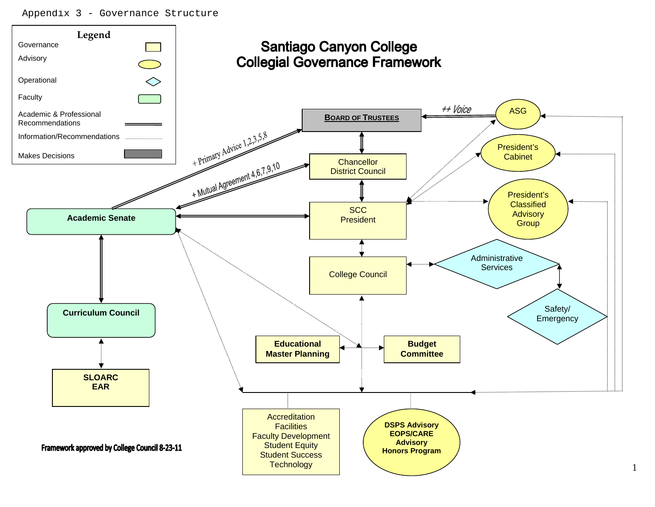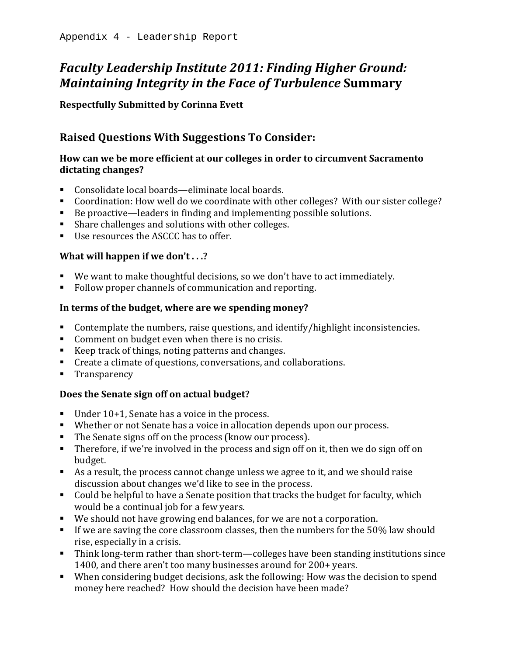### **Faculty Leadership Institute 2011: Finding Higher Ground:** *Maintaining Integrity in the Face of Turbulence* Summary

**Respectfully Submitted by Corinna Evett** 

### **Raised Questions With Suggestions To Consider:**

### How can we be more efficient at our colleges in order to circumvent Sacramento dictating changes?

- Consolidate local boards—eliminate local boards.
- Coordination: How well do we coordinate with other colleges? With our sister college?
- $\bullet$  Be proactive—leaders in finding and implementing possible solutions.
- Share challenges and solutions with other colleges.
- $\blacksquare$  Use resources the ASCCC has to offer.

### **What will happen if we don't...?**

- We want to make thoughtful decisions, so we don't have to act immediately.
- Follow proper channels of communication and reporting.

### In terms of the budget, where are we spending money?

- Contemplate the numbers, raise questions, and identify/highlight inconsistencies.
- Comment on budget even when there is no crisis.
- Exerpt track of things, noting patterns and changes.
- Create a climate of questions, conversations, and collaborations.
- Transparency

### **Does the Senate sign off on actual budget?**

- Under  $10+1$ , Senate has a voice in the process.
- Whether or not Senate has a voice in allocation depends upon our process.
- The Senate signs off on the process (know our process).
- **Therefore, if we're involved in the process and sign off on it, then we do sign off on** budget.
- As a result, the process cannot change unless we agree to it, and we should raise discussion about changes we'd like to see in the process.
- Could be helpful to have a Senate position that tracks the budget for faculty, which would be a continual job for a few years.
- We should not have growing end balances, for we are not a corporation.
- If we are saving the core classroom classes, then the numbers for the  $50\%$  law should rise, especially in a crisis.
- $\blacksquare$  Think long-term rather than short-term—colleges have been standing institutions since 1400, and there aren't too many businesses around for  $200+$  years.
- When considering budget decisions, ask the following: How was the decision to spend money here reached? How should the decision have been made?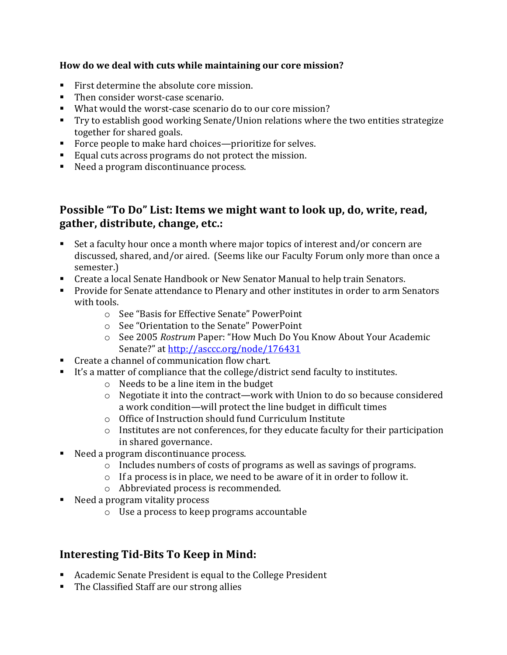### How do we deal with cuts while maintaining our core mission?

- First determine the absolute core mission.
- Then consider worst-case scenario.
- What would the worst-case scenario do to our core mission?
- Try to establish good working Senate/Union relations where the two entities strategize together for shared goals.
- Force people to make hard choices—prioritize for selves.
- Equal cuts across programs do not protect the mission.
- Need a program discontinuance process.

### Possible "To Do" List: Items we might want to look up, do, write, read, gather, distribute, change, etc.:

- Set a faculty hour once a month where major topics of interest and/or concern are discussed, shared, and/or aired. (Seems like our Faculty Forum only more than once a semester.)
- Create a local Senate Handbook or New Senator Manual to help train Senators.
- **Provide for Senate attendance to Plenary and other institutes in order to arm Senators** with tools.
	- $\circ$  See "Basis for Effective Senate" PowerPoint
	- $\circ$  See "Orientation to the Senate" PowerPoint
	- o See+2005+*Rostrum*+Paper:+"How+Much+Do+You+Know+About+Your+Academic+ Senate?" at http://asccc.org/node/176431
- Create a channel of communication flow chart.
- It's a matter of compliance that the college/district send faculty to institutes.
	- $\circ$  Needs to be a line item in the budget
	- $\circ$  Negotiate it into the contract—work with Union to do so because considered a work condition—will protect the line budget in difficult times
	- o Office of Instruction should fund Curriculum Institute
	- $\circ$  Institutes are not conferences, for they educate faculty for their participation in shared governance.
- Need a program discontinuance process.
	- $\circ$  Includes numbers of costs of programs as well as savings of programs.
	- $\circ$  If a process is in place, we need to be aware of it in order to follow it.
	- o Abbreviated process is recommended.
- $\blacksquare$  Need a program vitality process
	- $\circ$  Use a process to keep programs accountable

### **Interesting Tid-Bits To Keep in Mind:**

- Academic Senate President is equal to the College President
- $\blacksquare$  The Classified Staff are our strong allies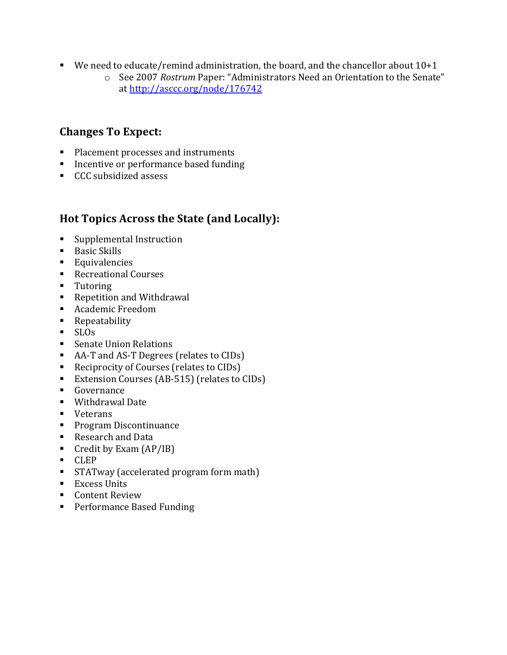- We need to educate/remind administration, the board, and the chancellor about  $10+1$ 
	- o See 2007 Rostrum Paper: "Administrators Need an Orientation to the Senate" at http://asccc.org/node/176742

### **Changes To Expect:**

- Placement processes and instruments
- $\blacksquare$  Incentive or performance based funding
- CCC subsidized assess

### **Hot Topics Across the State (and Locally):**

- $\blacksquare$  Supplemental Instruction
- $\blacksquare$  Basic Skills
- **Equivalencies**
- Recreational Courses
- **Tutoring**
- Repetition and Withdrawal
- Academic Freedom
- **Repeatability**
- SLOs
- Senate Union Relations
- AA-T and AS-T Degrees (relates to  $CIDs$ )
- Reciprocity of Courses (relates to CIDs)
- Extension Courses (AB-515) (relates to CIDs)
- Governance
- $\blacksquare$  Withdrawal Date
- **veterans**
- $\blacksquare$  Program Discontinuance
- Research and Data
- Credit by Exam  $(AP/IB)$
- CLEP
- STATway (accelerated program form math)
- $\blacksquare$  Excess Units
- $\blacksquare$  Content Review
- Performance Based Funding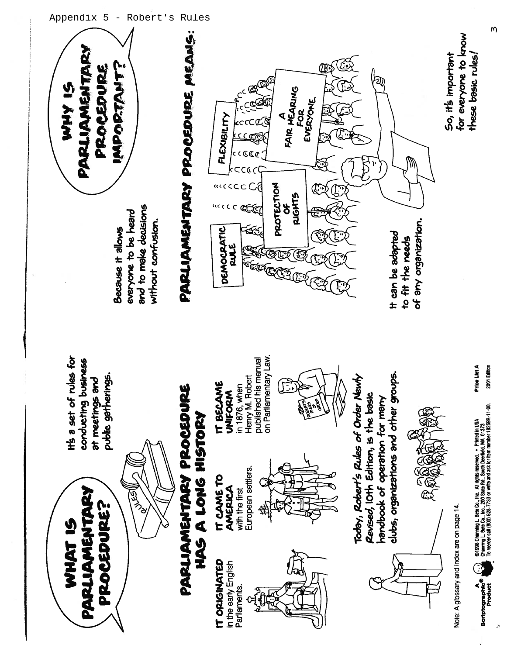

Appendix 5 - Robert's Rules

W)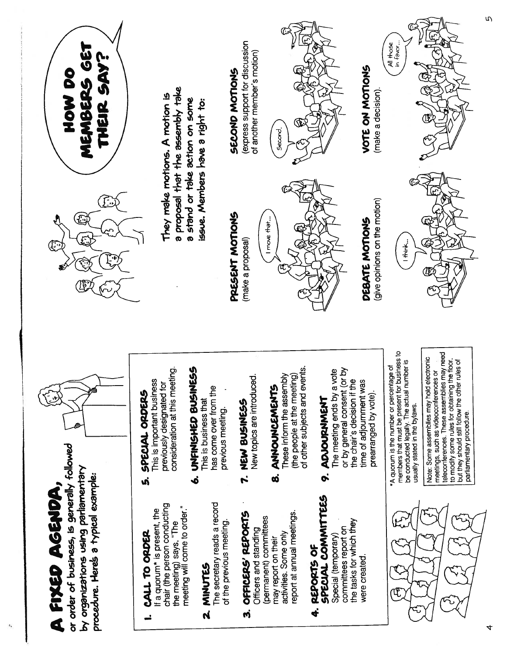

 $\ddot{\textbf{r}}$ 

้

4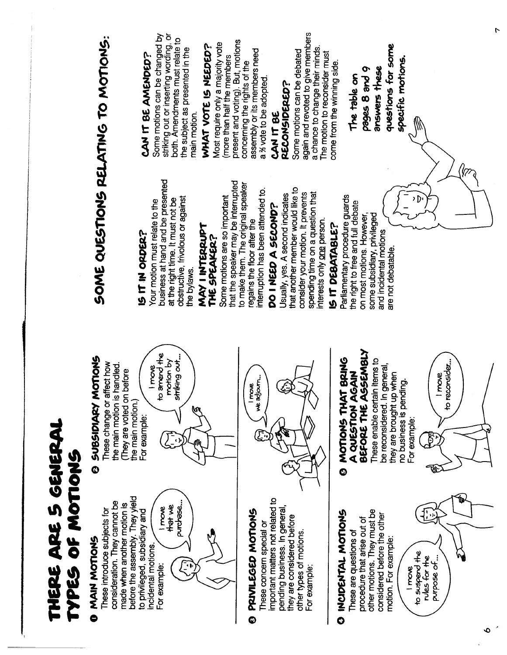|                                        | striking out or inserting wording, or<br>Some motions can be changed by<br>both. Amendments must relate to<br>Most require only a majority vote<br>WHAT VOTE IS NEEDED?<br>the subject as presented in the<br>CAN IT BE AMENDED?<br>(more than half the members<br>main motion.                                                   | again and revoted to give members<br>present and voting). But, motions<br>a chance to change their minds.<br>assembly or its members need<br>Some motions can be debated<br>The motion to reconsider must<br>concerning the rights of the<br>a % vote to be adopted.<br><b>RECONSIDERED?</b><br>CAN IT BE      | r<br>questions for some<br>specific motions.<br>come from the winning side.<br>answers these<br>pages 8 and 9<br>The table on                                                                                                                                                                 |
|----------------------------------------|-----------------------------------------------------------------------------------------------------------------------------------------------------------------------------------------------------------------------------------------------------------------------------------------------------------------------------------|----------------------------------------------------------------------------------------------------------------------------------------------------------------------------------------------------------------------------------------------------------------------------------------------------------------|-----------------------------------------------------------------------------------------------------------------------------------------------------------------------------------------------------------------------------------------------------------------------------------------------|
|                                        | SOME QUESTIONS RELATING TO MOTIONS:<br>business at hand and be presented<br>that the speaker may be interrupted<br>Some motions are so important<br>obstructive, frivolous or against<br>at the right time. It must not be<br>Your motion must relate to the<br>MAY I INTERRUPT<br>IS IT IN ORDER?<br>THE SPEAKER?<br>the bylaws. | to make them. The original speaker<br>that another member would like to<br>interruption has been attended to.<br>spending time on a question that<br>consider your motion. It prevents<br>Usually, yes. A second indicates<br>DO I NEED A SECOND?<br>interests only one person.<br>regains the floor after the | Parliamentary procedure guards<br>the right to free and full debate<br>some subsidiary, privileged<br>on most motions. However,<br>IS IT DEBATABLE?<br>and incidental motions<br>are not debatable.                                                                                           |
|                                        | to amend the<br>striking out<br>MOTIONS<br>motion by<br>affect how<br>is handled.<br>I move<br>They are voted on before<br>These change or<br>the main motion<br>the main motion.<br><b>SUBSIDIARY</b><br>М<br>For example:<br>$\ddot{\mathbf{O}}$                                                                                | adjourn<br>move<br>र्ष                                                                                                                                                                                                                                                                                         | <b>ASSEMBLY</b><br>MOTIONS THAT BRING<br>These enable certain items to<br>reconsider<br>In general,<br><b>AGAIN</b><br>they are brought up when<br>I move<br>no business is pending.<br>A QUESTION<br>be reconsidered.<br>$\overline{\mathbf{5}}$<br>BEFORE THE<br>For example:<br>₿<br><br>Ø |
| THERE ARE 5 GENERA<br>TYPES OF MOTIONS | before the assembly. They yield<br>consideration. They cannot be<br>made when another motion is<br>that we<br>purchase.<br>I move<br>These introduce subjects for<br>to privileged, subsidiary and<br>MAIN MOTIONS<br>incidental motions.<br>For example:<br>$\bullet$                                                            | important matters not related to<br>pending business. In general,<br>PRIVILEGED MOTIONS<br>they are considered before<br>These concern special or<br>other types of motions<br>For example:<br>$\ddot{\mathbf{Q}}$                                                                                             | other motions. They must be<br>O INCIDENTAL MOTIONS<br>considered before the other<br>procedure that arise out of<br>These are questions of<br>motion. For example:<br>to suspend the<br>rules for the<br>purpose of<br>I move                                                                |

 $\overline{\phantom{0}}$ 

 $\bullet$   $\overline{\bullet}$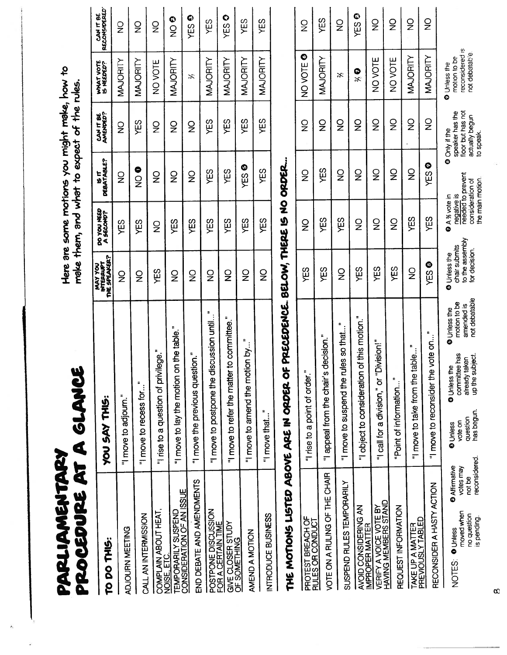| PROCEDURE AT A GLANCE<br>PARLIAMENTARY                                                                                        |                                                                                                                                                                                               |                                                                   |                                                     |                                           | Here are some motions you might make, how to<br>make them, and what to expect of the rules |                                                                  |                                            |
|-------------------------------------------------------------------------------------------------------------------------------|-----------------------------------------------------------------------------------------------------------------------------------------------------------------------------------------------|-------------------------------------------------------------------|-----------------------------------------------------|-------------------------------------------|--------------------------------------------------------------------------------------------|------------------------------------------------------------------|--------------------------------------------|
| DO THIS:<br><b><u>p</u></b>                                                                                                   | <b>CHUS:</b><br>YOU SAY                                                                                                                                                                       | MAY YOU<br>INTERRUPT<br>THE SPEAKER?                              | DO YOU HEED<br>A SECOND?                            | <b>DEBATABLE?</b><br>۲<br>پا              | CAN IT BE<br>AMENDED?                                                                      | WHAT VOTE<br>15 NEEDED?                                          | CAN IT BE<br>RECONSIDERED                  |
| ADJOURN MEETING                                                                                                               | "I move to adjourn."                                                                                                                                                                          | $\frac{1}{2}$                                                     | YES                                                 | $\frac{1}{2}$                             | $\frac{0}{2}$                                                                              | MAJORITY                                                         | $\frac{\mathsf{O}}{\mathsf{Z}}$            |
| CALL AN INTERMISSION                                                                                                          | Ξ<br>"I move to recess for"                                                                                                                                                                   | $\frac{1}{2}$                                                     | YES                                                 | $\frac{1}{2}$                             | ΥES                                                                                        | MAJORITY                                                         | $\frac{1}{2}$                              |
| COMPLAIN ABOUT HEAT,                                                                                                          | ilege."<br>"I rise to a question of priv                                                                                                                                                      | YES                                                               | $\frac{1}{2}$                                       | $\frac{1}{2}$                             | $\frac{1}{2}$                                                                              | NOVOTE                                                           | $\frac{0}{2}$                              |
| <b>TEMPORARILY SUSPEND<br/>CONSIDERATION OF AN ISSUE</b><br>NOISE, ETC.                                                       | \$<br>"I move to lay the motion on the table.                                                                                                                                                 | $\frac{1}{2}$                                                     | YES                                                 | $\frac{1}{2}$                             | $\frac{1}{2}$                                                                              | MAJORITY                                                         | $\boldsymbol{\mathsf{Q}}$<br>$\frac{1}{2}$ |
| END DEBATE AND AMENDMENTS                                                                                                     | "I move the previous question."                                                                                                                                                               | $\frac{1}{2}$                                                     | YES                                                 | $\frac{\mathsf{O}}{\mathsf{Z}}$           | $\frac{1}{2}$                                                                              | ぷ                                                                | $\bullet$<br>ΥES                           |
| POSTPONE DISCUSSION<br>FOR A CERTAIN TIME                                                                                     | ÷<br>iscussion until<br>"I move to postpone the d                                                                                                                                             | $\frac{1}{2}$                                                     | YES                                                 | YES                                       | YES                                                                                        | MAJORITY                                                         | YES                                        |
| GIVE CLOSER STUDY<br>OF SOMETHING                                                                                             | to committee.<br>"I move to refer the matter                                                                                                                                                  | $\overline{2}$                                                    | YES                                                 | YES                                       | YES                                                                                        | MAJORITY                                                         | $\bullet$<br>ΥËS                           |
| AMEND A MOTION                                                                                                                | F<br>"I move to amend the motion by                                                                                                                                                           | $\frac{1}{2}$                                                     | YES                                                 | $\bullet$<br>χË                           | YES                                                                                        | MAJORITY                                                         | YES                                        |
| INTRODUCE BUSINESS                                                                                                            | "I move that                                                                                                                                                                                  | $\frac{1}{2}$                                                     | ΥËS                                                 | YES                                       | YES                                                                                        | <b>MAJORITY</b>                                                  | ΥES                                        |
| THE MOTIONS LISTED ABOVE ARE IN ORDER O                                                                                       | F PRECEDENCE. BELOW, THERE IS NO ORDER.                                                                                                                                                       |                                                                   |                                                     |                                           |                                                                                            |                                                                  |                                            |
| PROTEST BREACH OF<br>RULES OR CONDUCT                                                                                         | "I rise to a point of order."                                                                                                                                                                 | YES                                                               | $\frac{1}{2}$                                       | $\frac{1}{2}$                             | $\frac{\mathsf{O}}{\mathsf{Z}}$                                                            | $\bullet$<br>NO VOTE                                             | $\frac{1}{2}$                              |
| VOTE ON A RULING OF THE CHAIR                                                                                                 | decision."<br>"I appeal from the chair's                                                                                                                                                      | YES                                                               | YES                                                 | ΥÉS                                       | $\frac{Q}{Z}$                                                                              | MAJORITY                                                         | YES                                        |
| SUSPEND RULES TEMPORARILY                                                                                                     | ÷<br>"I move to suspend the rules so that                                                                                                                                                     | $\frac{1}{2}$                                                     | YES                                                 | $\frac{1}{2}$                             | $\frac{1}{2}$                                                                              | Ķ                                                                | $\frac{1}{2}$                              |
| AVOID CONSIDERING AN<br>IMPROPER MATTER                                                                                       | E<br>of this motion.<br>"I object to consideration                                                                                                                                            | YES                                                               | $\frac{\mathsf{O}}{\mathsf{Z}}$                     | $\frac{\mathsf{O}}{\mathsf{Z}}$           | $\frac{1}{2}$                                                                              | $\frac{2}{3}$                                                    | Ø<br>YES <sup>1</sup>                      |
| <b>VERIFY A VOICE VOTE BY<br/>HAVING MEMBERS STAND</b>                                                                        | "I call for a division," or "Division!"                                                                                                                                                       | YES                                                               | $\frac{1}{2}$                                       | $\overline{2}$                            | $\frac{0}{2}$                                                                              | NO VOTE                                                          | $\frac{0}{2}$                              |
| REQUEST INFORMATION                                                                                                           | ۰.<br>Point of information                                                                                                                                                                    | YES                                                               | $\frac{1}{2}$                                       | $\frac{\mathsf{O}}{\mathsf{Z}}$           | $\frac{1}{2}$                                                                              | NOVOTE                                                           | $\frac{1}{2}$                              |
| TAKE UP A MATTER<br>PREVIOUSLY TABLED                                                                                         | ÷<br>table.<br>"I move to take from the                                                                                                                                                       | $\frac{1}{2}$                                                     | YES                                                 | $\frac{1}{2}$                             | $\frac{\mathsf{O}}{\mathsf{Z}}$                                                            | <b>MAJORITY</b>                                                  | $\frac{1}{2}$                              |
| RECONSIDER A HASTY ACTION                                                                                                     | ÷<br>vote on<br>"I move to reconsider the                                                                                                                                                     | ◎<br>YES                                                          | YES                                                 | $\bullet$<br>ΥES                          | $_{\mathsf{z}}^{\mathsf{o}}$                                                               | MAJORITY                                                         | $\frac{1}{2}$                              |
| reconsidered<br><b>O</b> Affirmative<br>votes may<br>not be<br>moved when<br>no question<br>is pending.<br>O Unless<br>NOTES: | not debatable<br>motion to be<br>amended is<br>Unless the<br>Ó<br>committee has<br>up the subject<br>already taken<br>ዎ<br><b>O</b> Unless th<br>has begun<br>question<br>vote on<br>O Unless | to the assembly<br>chair submits<br>for decision.<br>O Unless the | consideration of<br>negative is<br>A % vote in<br>¢ | Ô<br>needed to prevent<br>the main motion | floor but has not<br>speaker has the<br>actually begun<br>Only if the<br>to speak.         | reconsidered is<br>not debatable<br>motion to be<br>O Unless the |                                            |

 $\hat{\mathcal{C}}$ 

 $\infty$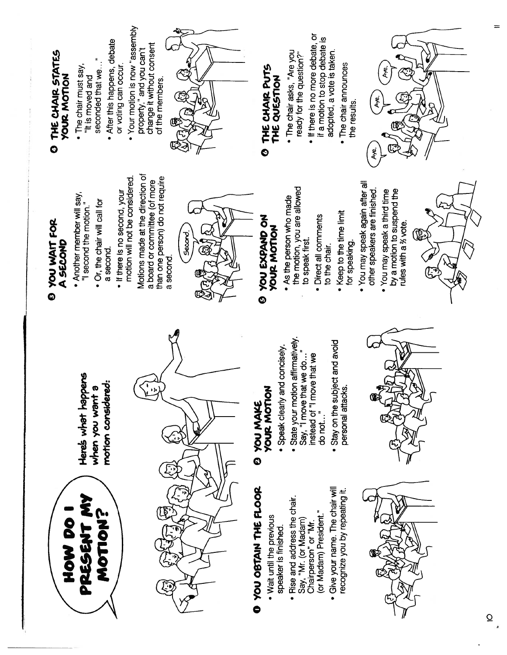

Here's what happens motion considered: when you want a



# O YOU OBTAIN THE FLOOR

- . Wait until the previous speaker is finished.
- . Rise and address the chair. or Madam) President." Say, "Mr. (or Madam) Chairperson" or "Mr.
- · Give your name. The chair will recognize you by repeating it.



# **YOUR MOTION 2 YOU MAKE**

- · Speak clearly and concisely.
- State your motion affirmatively. instead of "I move that we Say, "I move that we do.. do not..."
- Stay on the subject and avoid personal attacks.



# **E YOU WAIT FOR** A SECOND

- Another member will say, "I second the motion."
	- . Or, the chair will call for a second.
- motion will not be considered. . If there is no second, your

Motions made at the direction of than one person) do not require a board or committee (of more a second.



## **O YOU EXPAND ON YOUR MOTION**

- the motion, you are allowed . As the person who made to speak first.
	- · Direct all comments to the chair.
- . Keep to the time limit for speaking.
- You may speak again after all other speakers are finished.
	- by a motion to suspend the . You may speak a third time rules with a % vote.



# O THE CHAIR STATES **YOUR MOTION**

- seconded that we... • The chair must say, "It is moved and
- . After this happens, debate or voting can occur.
- Your motion is now "assembly change it without consent property," and you can't



### THE CHAIR PUTS THE QUESTION Ó

- The chair asks, "Are you ready for the question?
- . If there is no more debate, or if a motion to stop debate is adopted, a vote is taken.
	- The chair announces the results.

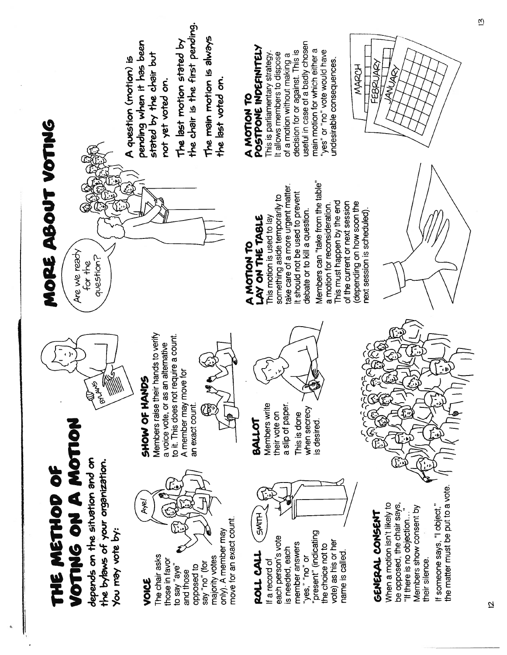

VOICE

 $\bar{z}$